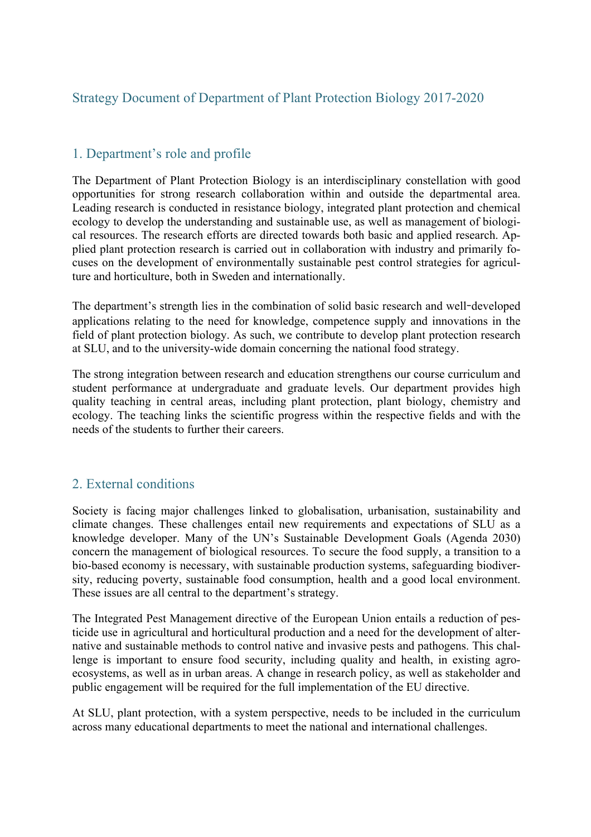# Strategy Document of Department of Plant Protection Biology 2017-2020

## 1. Department's role and profile

The Department of Plant Protection Biology is an interdisciplinary constellation with good opportunities for strong research collaboration within and outside the departmental area. Leading research is conducted in resistance biology, integrated plant protection and chemical ecology to develop the understanding and sustainable use, as well as management of biological resources. The research efforts are directed towards both basic and applied research. Applied plant protection research is carried out in collaboration with industry and primarily focuses on the development of environmentally sustainable pest control strategies for agriculture and horticulture, both in Sweden and internationally.

The department's strength lies in the combination of solid basic research and well**-**developed applications relating to the need for knowledge, competence supply and innovations in the field of plant protection biology. As such, we contribute to develop plant protection research at SLU, and to the university-wide domain concerning the national food strategy.

The strong integration between research and education strengthens our course curriculum and student performance at undergraduate and graduate levels. Our department provides high quality teaching in central areas, including plant protection, plant biology, chemistry and ecology. The teaching links the scientific progress within the respective fields and with the needs of the students to further their careers.

# 2. External conditions

Society is facing major challenges linked to globalisation, urbanisation, sustainability and climate changes. These challenges entail new requirements and expectations of SLU as a knowledge developer. Many of the UN's Sustainable Development Goals (Agenda 2030) concern the management of biological resources. To secure the food supply, a transition to a bio-based economy is necessary, with sustainable production systems, safeguarding biodiversity, reducing poverty, sustainable food consumption, health and a good local environment. These issues are all central to the department's strategy.

The Integrated Pest Management directive of the European Union entails a reduction of pesticide use in agricultural and horticultural production and a need for the development of alternative and sustainable methods to control native and invasive pests and pathogens. This challenge is important to ensure food security, including quality and health, in existing agroecosystems, as well as in urban areas. A change in research policy, as well as stakeholder and public engagement will be required for the full implementation of the EU directive.

At SLU, plant protection, with a system perspective, needs to be included in the curriculum across many educational departments to meet the national and international challenges.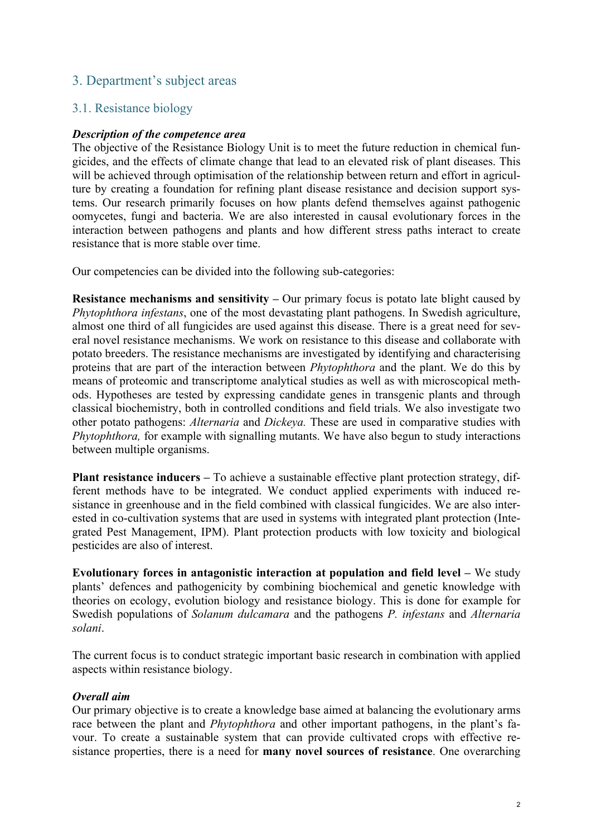# 3. Department's subject areas

### 3.1. Resistance biology

#### *Description of the competence area*

The objective of the Resistance Biology Unit is to meet the future reduction in chemical fungicides, and the effects of climate change that lead to an elevated risk of plant diseases. This will be achieved through optimisation of the relationship between return and effort in agriculture by creating a foundation for refining plant disease resistance and decision support systems. Our research primarily focuses on how plants defend themselves against pathogenic oomycetes, fungi and bacteria. We are also interested in causal evolutionary forces in the interaction between pathogens and plants and how different stress paths interact to create resistance that is more stable over time.

Our competencies can be divided into the following sub-categories:

**Resistance mechanisms and sensitivity – Our primary focus is potato late blight caused by** *Phytophthora infestans*, one of the most devastating plant pathogens. In Swedish agriculture, almost one third of all fungicides are used against this disease. There is a great need for several novel resistance mechanisms. We work on resistance to this disease and collaborate with potato breeders. The resistance mechanisms are investigated by identifying and characterising proteins that are part of the interaction between *Phytophthora* and the plant. We do this by means of proteomic and transcriptome analytical studies as well as with microscopical methods. Hypotheses are tested by expressing candidate genes in transgenic plants and through classical biochemistry, both in controlled conditions and field trials. We also investigate two other potato pathogens: *Alternaria* and *Dickeya.* These are used in comparative studies with *Phytophthora,* for example with signalling mutants. We have also begun to study interactions between multiple organisms.

**Plant resistance inducers** – To achieve a sustainable effective plant protection strategy, different methods have to be integrated. We conduct applied experiments with induced resistance in greenhouse and in the field combined with classical fungicides. We are also interested in co-cultivation systems that are used in systems with integrated plant protection (Integrated Pest Management, IPM). Plant protection products with low toxicity and biological pesticides are also of interest.

**Evolutionary forces in antagonistic interaction at population and field level –** We study plants' defences and pathogenicity by combining biochemical and genetic knowledge with theories on ecology, evolution biology and resistance biology. This is done for example for Swedish populations of *Solanum dulcamara* and the pathogens *P. infestans* and *Alternaria solani*.

The current focus is to conduct strategic important basic research in combination with applied aspects within resistance biology.

#### *Overall aim*

Our primary objective is to create a knowledge base aimed at balancing the evolutionary arms race between the plant and *Phytophthora* and other important pathogens, in the plant's favour. To create a sustainable system that can provide cultivated crops with effective resistance properties, there is a need for **many novel sources of resistance**. One overarching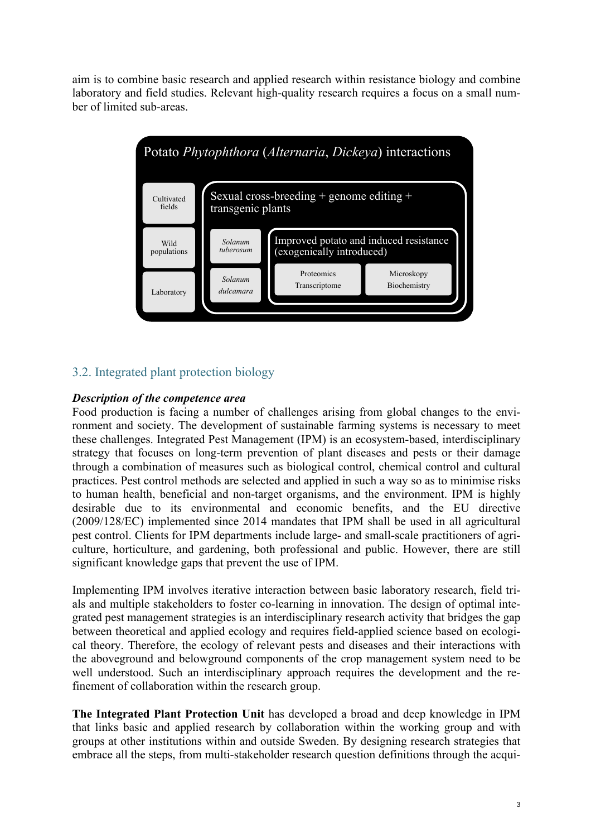aim is to combine basic research and applied research within resistance biology and combine laboratory and field studies. Relevant high-quality research requires a focus on a small number of limited sub-areas.



# 3.2. Integrated plant protection biology

### *Description of the competence area*

Food production is facing a number of challenges arising from global changes to the environment and society. The development of sustainable farming systems is necessary to meet these challenges. Integrated Pest Management (IPM) is an ecosystem-based, interdisciplinary strategy that focuses on long-term prevention of plant diseases and pests or their damage through a combination of measures such as biological control, chemical control and cultural practices. Pest control methods are selected and applied in such a way so as to minimise risks to human health, beneficial and non-target organisms, and the environment. IPM is highly desirable due to its environmental and economic benefits, and the EU directive (2009/128/EC) implemented since 2014 mandates that IPM shall be used in all agricultural pest control. Clients for IPM departments include large- and small-scale practitioners of agriculture, horticulture, and gardening, both professional and public. However, there are still significant knowledge gaps that prevent the use of IPM.

Implementing IPM involves iterative interaction between basic laboratory research, field trials and multiple stakeholders to foster co-learning in innovation. The design of optimal integrated pest management strategies is an interdisciplinary research activity that bridges the gap between theoretical and applied ecology and requires field-applied science based on ecological theory. Therefore, the ecology of relevant pests and diseases and their interactions with the aboveground and belowground components of the crop management system need to be well understood. Such an interdisciplinary approach requires the development and the refinement of collaboration within the research group.

**The Integrated Plant Protection Unit** has developed a broad and deep knowledge in IPM that links basic and applied research by collaboration within the working group and with groups at other institutions within and outside Sweden. By designing research strategies that embrace all the steps, from multi-stakeholder research question definitions through the acqui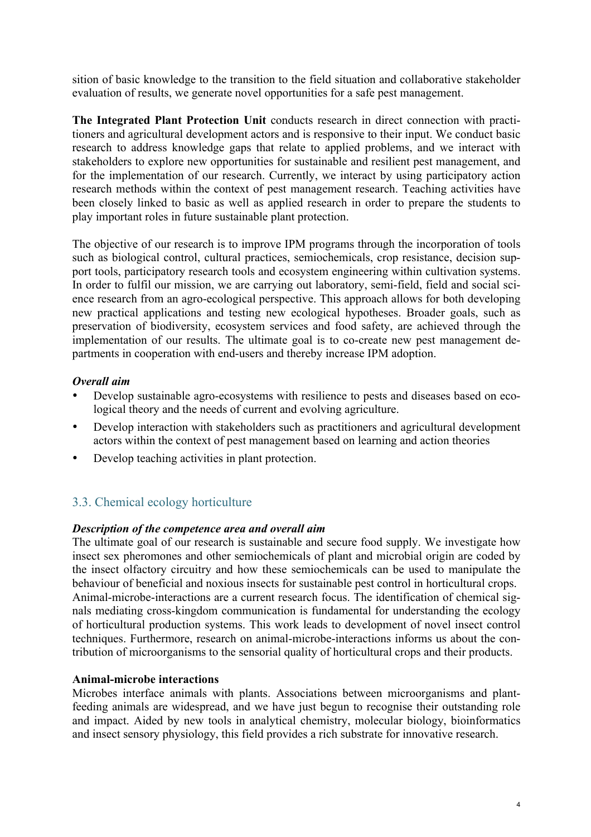sition of basic knowledge to the transition to the field situation and collaborative stakeholder evaluation of results, we generate novel opportunities for a safe pest management.

**The Integrated Plant Protection Unit** conducts research in direct connection with practitioners and agricultural development actors and is responsive to their input. We conduct basic research to address knowledge gaps that relate to applied problems, and we interact with stakeholders to explore new opportunities for sustainable and resilient pest management, and for the implementation of our research. Currently, we interact by using participatory action research methods within the context of pest management research. Teaching activities have been closely linked to basic as well as applied research in order to prepare the students to play important roles in future sustainable plant protection.

The objective of our research is to improve IPM programs through the incorporation of tools such as biological control, cultural practices, semiochemicals, crop resistance, decision support tools, participatory research tools and ecosystem engineering within cultivation systems. In order to fulfil our mission, we are carrying out laboratory, semi-field, field and social science research from an agro-ecological perspective. This approach allows for both developing new practical applications and testing new ecological hypotheses. Broader goals, such as preservation of biodiversity, ecosystem services and food safety, are achieved through the implementation of our results. The ultimate goal is to co-create new pest management departments in cooperation with end-users and thereby increase IPM adoption.

#### *Overall aim*

- Develop sustainable agro-ecosystems with resilience to pests and diseases based on ecological theory and the needs of current and evolving agriculture.
- Develop interaction with stakeholders such as practitioners and agricultural development actors within the context of pest management based on learning and action theories
- Develop teaching activities in plant protection.

## 3.3. Chemical ecology horticulture

#### *Description of the competence area and overall aim*

The ultimate goal of our research is sustainable and secure food supply. We investigate how insect sex pheromones and other semiochemicals of plant and microbial origin are coded by the insect olfactory circuitry and how these semiochemicals can be used to manipulate the behaviour of beneficial and noxious insects for sustainable pest control in horticultural crops. Animal-microbe-interactions are a current research focus. The identification of chemical signals mediating cross-kingdom communication is fundamental for understanding the ecology of horticultural production systems. This work leads to development of novel insect control techniques. Furthermore, research on animal-microbe-interactions informs us about the contribution of microorganisms to the sensorial quality of horticultural crops and their products.

#### **Animal-microbe interactions**

Microbes interface animals with plants. Associations between microorganisms and plantfeeding animals are widespread, and we have just begun to recognise their outstanding role and impact. Aided by new tools in analytical chemistry, molecular biology, bioinformatics and insect sensory physiology, this field provides a rich substrate for innovative research.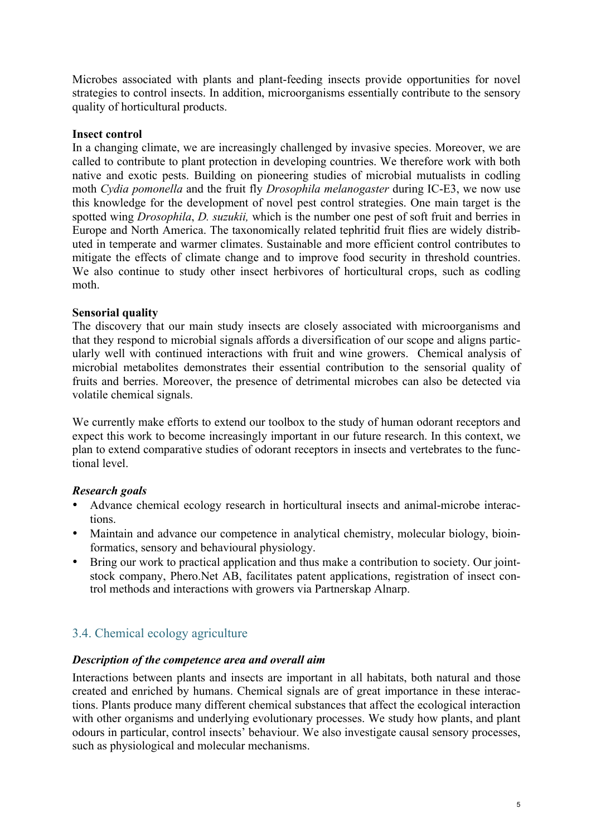Microbes associated with plants and plant-feeding insects provide opportunities for novel strategies to control insects. In addition, microorganisms essentially contribute to the sensory quality of horticultural products.

#### **Insect control**

In a changing climate, we are increasingly challenged by invasive species. Moreover, we are called to contribute to plant protection in developing countries. We therefore work with both native and exotic pests. Building on pioneering studies of microbial mutualists in codling moth *Cydia pomonella* and the fruit fly *Drosophila melanogaster* during IC-E3, we now use this knowledge for the development of novel pest control strategies. One main target is the spotted wing *Drosophila*, *D. suzukii,* which is the number one pest of soft fruit and berries in Europe and North America. The taxonomically related tephritid fruit flies are widely distributed in temperate and warmer climates. Sustainable and more efficient control contributes to mitigate the effects of climate change and to improve food security in threshold countries. We also continue to study other insect herbivores of horticultural crops, such as codling moth.

### **Sensorial quality**

The discovery that our main study insects are closely associated with microorganisms and that they respond to microbial signals affords a diversification of our scope and aligns particularly well with continued interactions with fruit and wine growers. Chemical analysis of microbial metabolites demonstrates their essential contribution to the sensorial quality of fruits and berries. Moreover, the presence of detrimental microbes can also be detected via volatile chemical signals.

We currently make efforts to extend our toolbox to the study of human odorant receptors and expect this work to become increasingly important in our future research. In this context, we plan to extend comparative studies of odorant receptors in insects and vertebrates to the functional level.

#### *Research goals*

- Advance chemical ecology research in horticultural insects and animal-microbe interactions.
- Maintain and advance our competence in analytical chemistry, molecular biology, bioinformatics, sensory and behavioural physiology.
- Bring our work to practical application and thus make a contribution to society. Our jointstock company, Phero.Net AB, facilitates patent applications, registration of insect control methods and interactions with growers via Partnerskap Alnarp.

# 3.4. Chemical ecology agriculture

#### *Description of the competence area and overall aim*

Interactions between plants and insects are important in all habitats, both natural and those created and enriched by humans. Chemical signals are of great importance in these interactions. Plants produce many different chemical substances that affect the ecological interaction with other organisms and underlying evolutionary processes. We study how plants, and plant odours in particular, control insects' behaviour. We also investigate causal sensory processes, such as physiological and molecular mechanisms.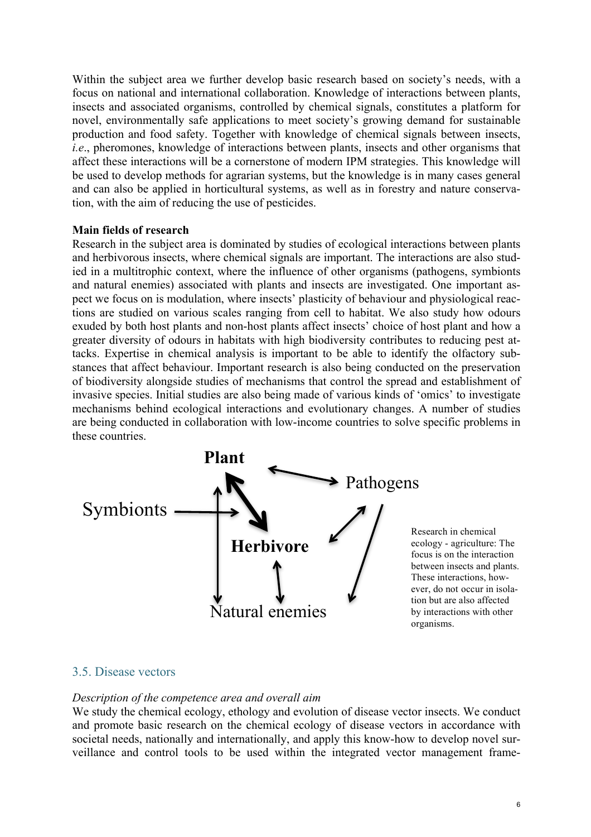Within the subject area we further develop basic research based on society's needs, with a focus on national and international collaboration. Knowledge of interactions between plants, insects and associated organisms, controlled by chemical signals, constitutes a platform for novel, environmentally safe applications to meet society's growing demand for sustainable production and food safety. Together with knowledge of chemical signals between insects, *i.e*., pheromones, knowledge of interactions between plants, insects and other organisms that affect these interactions will be a cornerstone of modern IPM strategies. This knowledge will be used to develop methods for agrarian systems, but the knowledge is in many cases general and can also be applied in horticultural systems, as well as in forestry and nature conservation, with the aim of reducing the use of pesticides.

#### **Main fields of research**

Research in the subject area is dominated by studies of ecological interactions between plants and herbivorous insects, where chemical signals are important. The interactions are also studied in a multitrophic context, where the influence of other organisms (pathogens, symbionts and natural enemies) associated with plants and insects are investigated. One important aspect we focus on is modulation, where insects' plasticity of behaviour and physiological reactions are studied on various scales ranging from cell to habitat. We also study how odours exuded by both host plants and non-host plants affect insects' choice of host plant and how a greater diversity of odours in habitats with high biodiversity contributes to reducing pest attacks. Expertise in chemical analysis is important to be able to identify the olfactory substances that affect behaviour. Important research is also being conducted on the preservation of biodiversity alongside studies of mechanisms that control the spread and establishment of invasive species. Initial studies are also being made of various kinds of 'omics' to investigate mechanisms behind ecological interactions and evolutionary changes. A number of studies are being conducted in collaboration with low-income countries to solve specific problems in these countries.



Research in chemical ecology - agriculture: The focus is on the interaction between insects and plants. These interactions, however, do not occur in isolation but are also affected by interactions with other organisms.

#### 3.5. Disease vectors

#### *Description of the competence area and overall aim*

We study the chemical ecology, ethology and evolution of disease vector insects. We conduct and promote basic research on the chemical ecology of disease vectors in accordance with societal needs, nationally and internationally, and apply this know-how to develop novel surveillance and control tools to be used within the integrated vector management frame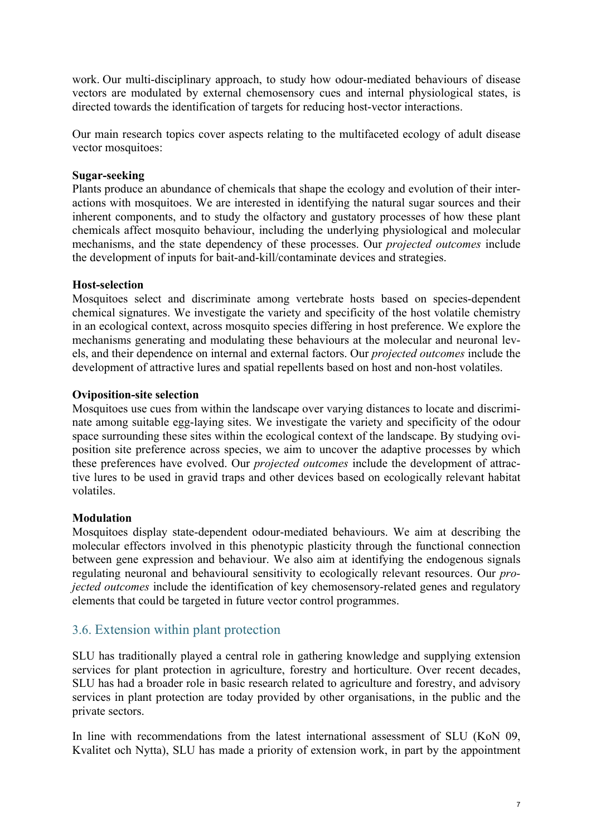work. Our multi-disciplinary approach, to study how odour-mediated behaviours of disease vectors are modulated by external chemosensory cues and internal physiological states, is directed towards the identification of targets for reducing host-vector interactions.

Our main research topics cover aspects relating to the multifaceted ecology of adult disease vector mosquitoes:

#### **Sugar-seeking**

Plants produce an abundance of chemicals that shape the ecology and evolution of their interactions with mosquitoes. We are interested in identifying the natural sugar sources and their inherent components, and to study the olfactory and gustatory processes of how these plant chemicals affect mosquito behaviour, including the underlying physiological and molecular mechanisms, and the state dependency of these processes. Our *projected outcomes* include the development of inputs for bait-and-kill/contaminate devices and strategies.

#### **Host-selection**

Mosquitoes select and discriminate among vertebrate hosts based on species-dependent chemical signatures. We investigate the variety and specificity of the host volatile chemistry in an ecological context, across mosquito species differing in host preference. We explore the mechanisms generating and modulating these behaviours at the molecular and neuronal levels, and their dependence on internal and external factors. Our *projected outcomes* include the development of attractive lures and spatial repellents based on host and non-host volatiles.

#### **Oviposition-site selection**

Mosquitoes use cues from within the landscape over varying distances to locate and discriminate among suitable egg-laying sites. We investigate the variety and specificity of the odour space surrounding these sites within the ecological context of the landscape. By studying oviposition site preference across species, we aim to uncover the adaptive processes by which these preferences have evolved. Our *projected outcomes* include the development of attractive lures to be used in gravid traps and other devices based on ecologically relevant habitat volatiles.

### **Modulation**

Mosquitoes display state-dependent odour-mediated behaviours. We aim at describing the molecular effectors involved in this phenotypic plasticity through the functional connection between gene expression and behaviour. We also aim at identifying the endogenous signals regulating neuronal and behavioural sensitivity to ecologically relevant resources. Our *projected outcomes* include the identification of key chemosensory-related genes and regulatory elements that could be targeted in future vector control programmes.

## 3.6. Extension within plant protection

SLU has traditionally played a central role in gathering knowledge and supplying extension services for plant protection in agriculture, forestry and horticulture. Over recent decades, SLU has had a broader role in basic research related to agriculture and forestry, and advisory services in plant protection are today provided by other organisations, in the public and the private sectors.

In line with recommendations from the latest international assessment of SLU (KoN 09, Kvalitet och Nytta), SLU has made a priority of extension work, in part by the appointment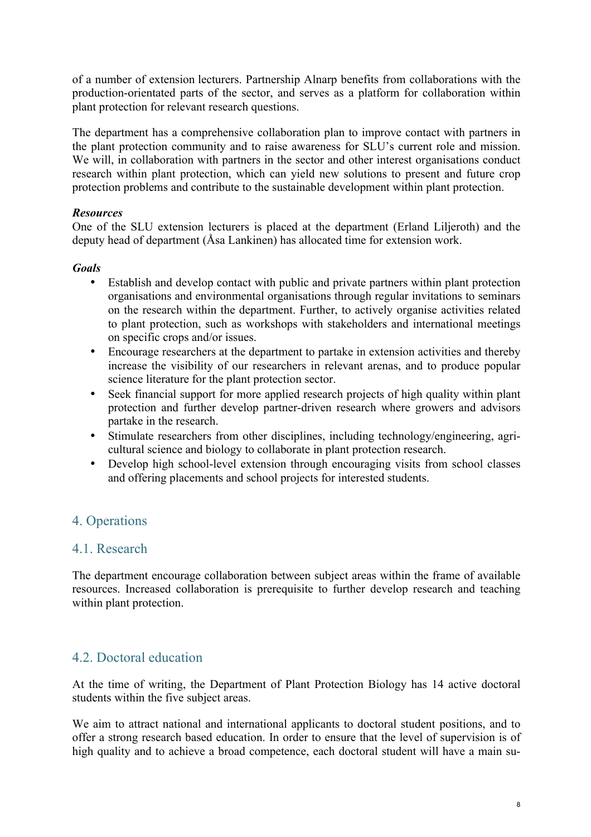of a number of extension lecturers. Partnership Alnarp benefits from collaborations with the production-orientated parts of the sector, and serves as a platform for collaboration within plant protection for relevant research questions.

The department has a comprehensive collaboration plan to improve contact with partners in the plant protection community and to raise awareness for SLU's current role and mission. We will, in collaboration with partners in the sector and other interest organisations conduct research within plant protection, which can yield new solutions to present and future crop protection problems and contribute to the sustainable development within plant protection.

### *Resources*

One of the SLU extension lecturers is placed at the department (Erland Liljeroth) and the deputy head of department (Åsa Lankinen) has allocated time for extension work.

### *Goals*

- Establish and develop contact with public and private partners within plant protection organisations and environmental organisations through regular invitations to seminars on the research within the department. Further, to actively organise activities related to plant protection, such as workshops with stakeholders and international meetings on specific crops and/or issues.
- Encourage researchers at the department to partake in extension activities and thereby increase the visibility of our researchers in relevant arenas, and to produce popular science literature for the plant protection sector.
- Seek financial support for more applied research projects of high quality within plant protection and further develop partner-driven research where growers and advisors partake in the research.
- Stimulate researchers from other disciplines, including technology/engineering, agricultural science and biology to collaborate in plant protection research.
- Develop high school-level extension through encouraging visits from school classes and offering placements and school projects for interested students.

# 4. Operations

## 4.1. Research

The department encourage collaboration between subject areas within the frame of available resources. Increased collaboration is prerequisite to further develop research and teaching within plant protection.

## 4.2. Doctoral education

At the time of writing, the Department of Plant Protection Biology has 14 active doctoral students within the five subject areas.

We aim to attract national and international applicants to doctoral student positions, and to offer a strong research based education. In order to ensure that the level of supervision is of high quality and to achieve a broad competence, each doctoral student will have a main su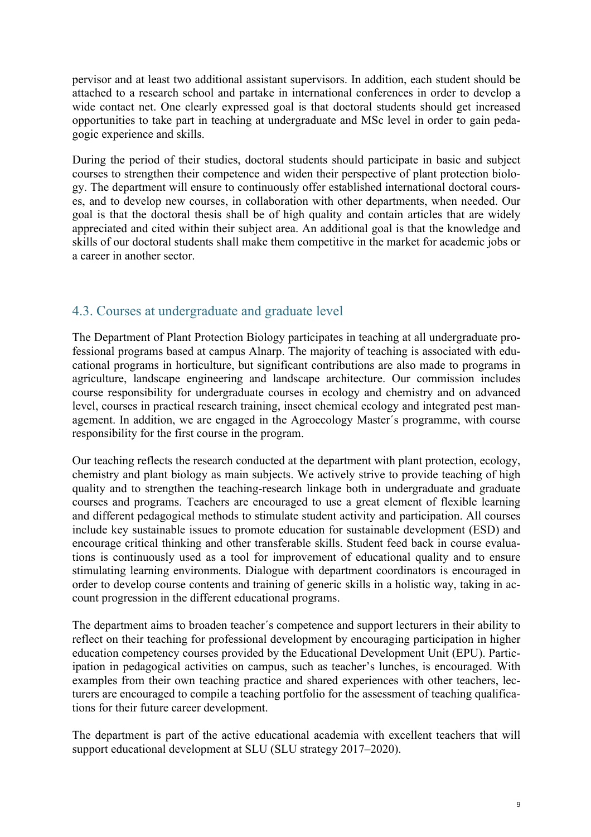pervisor and at least two additional assistant supervisors. In addition, each student should be attached to a research school and partake in international conferences in order to develop a wide contact net. One clearly expressed goal is that doctoral students should get increased opportunities to take part in teaching at undergraduate and MSc level in order to gain pedagogic experience and skills.

During the period of their studies, doctoral students should participate in basic and subject courses to strengthen their competence and widen their perspective of plant protection biology. The department will ensure to continuously offer established international doctoral courses, and to develop new courses, in collaboration with other departments, when needed. Our goal is that the doctoral thesis shall be of high quality and contain articles that are widely appreciated and cited within their subject area. An additional goal is that the knowledge and skills of our doctoral students shall make them competitive in the market for academic jobs or a career in another sector.

# 4.3. Courses at undergraduate and graduate level

The Department of Plant Protection Biology participates in teaching at all undergraduate professional programs based at campus Alnarp. The majority of teaching is associated with educational programs in horticulture, but significant contributions are also made to programs in agriculture, landscape engineering and landscape architecture. Our commission includes course responsibility for undergraduate courses in ecology and chemistry and on advanced level, courses in practical research training, insect chemical ecology and integrated pest management. In addition, we are engaged in the Agroecology Master´s programme, with course responsibility for the first course in the program.

Our teaching reflects the research conducted at the department with plant protection, ecology, chemistry and plant biology as main subjects. We actively strive to provide teaching of high quality and to strengthen the teaching-research linkage both in undergraduate and graduate courses and programs. Teachers are encouraged to use a great element of flexible learning and different pedagogical methods to stimulate student activity and participation. All courses include key sustainable issues to promote education for sustainable development (ESD) and encourage critical thinking and other transferable skills. Student feed back in course evaluations is continuously used as a tool for improvement of educational quality and to ensure stimulating learning environments. Dialogue with department coordinators is encouraged in order to develop course contents and training of generic skills in a holistic way, taking in account progression in the different educational programs.

The department aims to broaden teacher´s competence and support lecturers in their ability to reflect on their teaching for professional development by encouraging participation in higher education competency courses provided by the Educational Development Unit (EPU). Participation in pedagogical activities on campus, such as teacher's lunches, is encouraged. With examples from their own teaching practice and shared experiences with other teachers, lecturers are encouraged to compile a teaching portfolio for the assessment of teaching qualifications for their future career development.

The department is part of the active educational academia with excellent teachers that will support educational development at SLU (SLU strategy 2017–2020).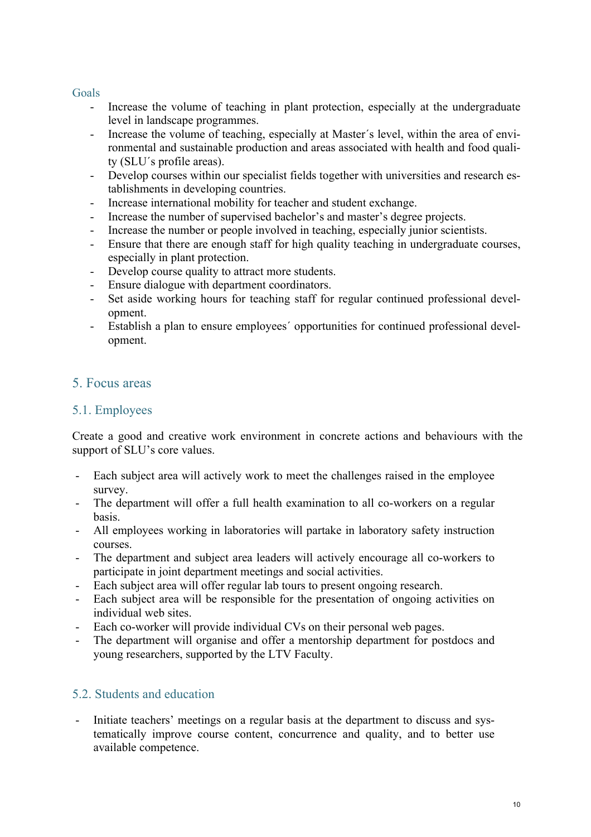### Goals

- Increase the volume of teaching in plant protection, especially at the undergraduate level in landscape programmes.
- Increase the volume of teaching, especially at Master's level, within the area of environmental and sustainable production and areas associated with health and food quality (SLU´s profile areas).
- Develop courses within our specialist fields together with universities and research establishments in developing countries.
- Increase international mobility for teacher and student exchange.
- Increase the number of supervised bachelor's and master's degree projects.
- Increase the number or people involved in teaching, especially junior scientists.
- Ensure that there are enough staff for high quality teaching in undergraduate courses, especially in plant protection.
- Develop course quality to attract more students.
- Ensure dialogue with department coordinators.
- Set aside working hours for teaching staff for regular continued professional development.
- Establish a plan to ensure employees´ opportunities for continued professional development.

## 5. Focus areas

### 5.1. Employees

Create a good and creative work environment in concrete actions and behaviours with the support of SLU's core values.

- Each subject area will actively work to meet the challenges raised in the employee survey.
- The department will offer a full health examination to all co-workers on a regular basis.
- All employees working in laboratories will partake in laboratory safety instruction courses.
- The department and subject area leaders will actively encourage all co-workers to participate in joint department meetings and social activities.
- Each subject area will offer regular lab tours to present ongoing research.
- Each subject area will be responsible for the presentation of ongoing activities on individual web sites.
- Each co-worker will provide individual CVs on their personal web pages.
- The department will organise and offer a mentorship department for postdocs and young researchers, supported by the LTV Faculty.

## 5.2. Students and education

- Initiate teachers' meetings on a regular basis at the department to discuss and systematically improve course content, concurrence and quality, and to better use available competence.